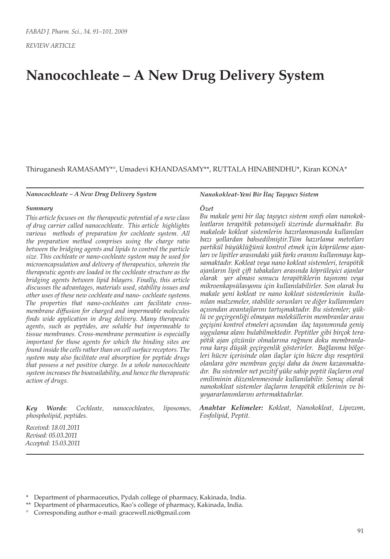*REVIEW ARTICLE*

# **Nanocochleate – A New Drug Delivery System**

#### Thiruganesh RAMASAMY\*°, Umadevi KHANDASAMY\*\*, RUTTALA HINABINDHU\*, Kiran KONA\*

#### *Nanocochleate – A New Drug Delivery System*

#### *Summary*

*This article focuses on the therapeutic potential of a new class of drug carrier called nanocochleate. This article highlights various methods of preparation for cochleate system. All the preparation method comprises using the charge ratio between the bridging agents and lipids to control the particle size. This cochleate or nano-cochleate system may be used for microencapsulation and delivery of therapeutics, wherein the therapeutic agents are loaded in the cochleate structure as the bridging agents between lipid bilayers. Finally, this article discusses the advantages, materials used, stability issues and other uses of these new cochleate and nano- cochleate systems. The properties that nano-cochleates can facilitate crossmembrane diffusion for charged and impermeable molecules finds wide application in drug delivery. Many therapeutic agents, such as peptides, are soluble but impermeable to tissue membranes. Cross-membrane permeation is especially important for those agents for which the binding sites are found inside the cells rather than on cell surface receptors. The system may also facilitate oral absorption for peptide drugs that possess a net positive charge. In a whole nanocochleate system increases the bioavailability, and hence the therapeutic action of drugs.* 

*Key Words: Cochleate, nanocochleates, liposomes, phospholipid, peptides.*

*Nanokokleat-Yeni Bir İlaç Taşıyıcı Sistem Özet*

*Bu makale yeni bir ilaç taşıyıcı sistem sınıfı olan nanokokleatların terapötik potansiyeli üzerinde durmaktadır. Bu makalede kokleat sistemlerin hazırlanmasında kullanılan bazı yollardan bahsedilmiştir.Tüm hazırlama metotları partikül büyüklüğünü kontrol etmek için köprüleme ajanları ve lipitler arasındaki yük farkı oranını kullanmayı kapsamaktadır. Kokleat veya nano kokleat sistemleri, terapötik ajanların lipit çift tabakaları arasında köprüleyici ajanlar olarak yer alması sonucu terapötiklerin taşınımı veya mikroenkapsülasyonu için kullanılabilirler. Son olarak bu makale yeni kokleat ve nano kokleat sistemlerinin kullanılan malzemeler, stabilite sorunları ve diğer kullanımları açısından avantajlarını tartışmaktadır. Bu sistemler; yüklü ve geçirgenliği olmayan moleküllerin membranlar arası geçişini kontrol etmeleri açısından ilaç taşınımında geniş uygulama alanı bulabilmektedir. Peptitler gibi birçok terapötik ajan çözünür olmalarına rağmen doku membranlarına karşı düşük geçirgenlik gösterirler. Bağlanma bölgeleri hücre içerisinde olan ilaçlar için hücre dışı reseptörü olanlara göre membran geçişi daha da önem kazanmaktadır. Bu sistemler net pozitif yüke sahip peptit ilaçların oral emiliminin düzenlenmesinde kullanılabilir. Sonuç olarak nanokokleat sistemler ilaçların terapötik etkilerinin ve biyoyararlanımlarını artırmaktadırlar.*

*Anahtar Kelimeler: Kokleat, Nanokokleat, Lipozom, Fosfolipid, Peptit.*

*Received: 18.01.2011 Revised: 05.03.2011 Accepted: 15.03.2011*

<sup>\*</sup> Department of pharmaceutics, Pydah college of pharmacy, Kakinada, India.

<sup>\*\*</sup> Department of pharmaceutics, Rao's college of pharmacy, Kakinada, India.

<sup>°</sup> Corresponding author e-mail: gracewell.nic@gmail.com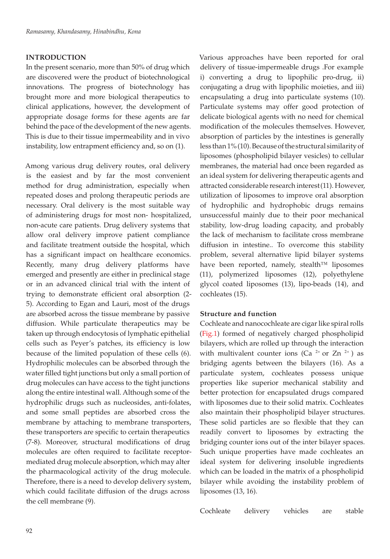#### **INTRODUCTION**

In the present scenario, more than 50% of drug which are discovered were the product of biotechnological innovations. The progress of biotechnology has brought more and more biological therapeutics to clinical applications, however, the development of appropriate dosage forms for these agents are far behind the pace of the development of the new agents. This is due to their tissue impermeability and in vivo instability, low entrapment efficiency and, so on (1).

Among various drug delivery routes, oral delivery is the easiest and by far the most convenient method for drug administration, especially when repeated doses and prolong therapeutic periods are necessary. Oral delivery is the most suitable way of administering drugs for most non- hospitalized, non-acute care patients. Drug delivery systems that allow oral delivery improve patient compliance and facilitate treatment outside the hospital, which has a significant impact on healthcare economics. Recently, many drug delivery platforms have emerged and presently are either in preclinical stage or in an advanced clinical trial with the intent of trying to demonstrate efficient oral absorption (2- 5). According to Egan and Lauri, most of the drugs are absorbed across the tissue membrane by passive diffusion. While particulate therapeutics may be taken up through endocytosis of lymphatic epithelial cells such as Peyer's patches, its efficiency is low because of the limited population of these cells (6). Hydrophilic molecules can be absorbed through the water filled tight junctions but only a small portion of drug molecules can have access to the tight junctions along the entire intestinal wall. Although some of the hydrophilic drugs such as nucleosides, anti-folates, and some small peptides are absorbed cross the membrane by attaching to membrane transporters, these transporters are specific to certain therapeutics (7-8). Moreover, structural modifications of drug molecules are often required to facilitate receptormediated drug molecule absorption, which may alter the pharmacological activity of the drug molecule. Therefore, there is a need to develop delivery system, which could facilitate diffusion of the drugs across the cell membrane (9).

delivery of tissue-impermeable drugs .For example i) converting a drug to lipophilic pro-drug, ii) conjugating a drug with lipophilic moieties, and iii) encapsulating a drug into particulate systems (10). Particulate systems may offer good protection of delicate biological agents with no need for chemical modification of the molecules themselves. However, absorption of particles by the intestines is generally less than 1% (10). Because of the structural similarity of liposomes (phospholipid bilayer vesicles) to cellular membranes, the material had once been regarded as an ideal system for delivering therapeutic agents and attracted considerable research interest(11). However, utilization of liposomes to improve oral absorption of hydrophilic and hydrophobic drugs remains unsuccessful mainly due to their poor mechanical stability, low-drug loading capacity, and probably the lack of mechanism to facilitate cross membrane diffusion in intestine.. To overcome this stability problem, several alternative lipid bilayer systems have been reported, namely, stealth™ liposomes (11), polymerized liposomes (12), polyethylene glycol coated liposomes (13), lipo-beads (14), and cochleates (15).

Various approaches have been reported for oral

#### **Structure and function**

Cochleate and nanocochleate are cigar like spiral rolls (Fig.1) formed of negatively charged phospholipid bilayers, which are rolled up through the interaction with multivalent counter ions (Ca  $2+$  or Zn  $2+$ ) as bridging agents between the bilayers (16). As a particulate system, cochleates possess unique properties like superior mechanical stability and better protection for encapsulated drugs compared with liposomes due to their solid matrix. Cochleates also maintain their phospholipid bilayer structures. These solid particles are so flexible that they can readily convert to liposomes by extracting the bridging counter ions out of the inter bilayer spaces. Such unique properties have made cochleates an ideal system for delivering insoluble ingredients which can be loaded in the matrix of a phospholipid bilayer while avoiding the instability problem of liposomes (13, 16).

Cochleate delivery vehicles are stable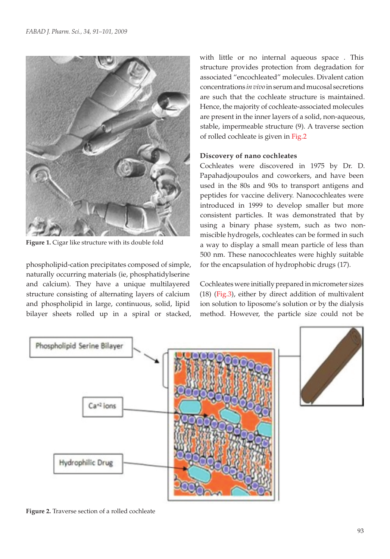

**Figure 1.** Cigar like structure with its double fold

phospholipid-cation precipitates composed of simple, naturally occurring materials (ie, phosphatidylserine and calcium). They have a unique multilayered structure consisting of alternating layers of calcium and phospholipid in large, continuous, solid, lipid bilayer sheets rolled up in a spiral or stacked, with little or no internal aqueous space . This structure provides protection from degradation for associated "encochleated" molecules. Divalent cation concentrations *in vivo* in serum and mucosal secretions are such that the cochleate structure is maintained. Hence, the majority of cochleate-associated molecules are present in the inner layers of a solid, non-aqueous, stable, impermeable structure (9). A traverse section of rolled cochleate is given in Fig.2

# **Discovery of nano cochleates**

Cochleates were discovered in 1975 by Dr. D. Papahadjoupoulos and coworkers, and have been used in the 80s and 90s to transport antigens and peptides for vaccine delivery. Nanocochleates were introduced in 1999 to develop smaller but more consistent particles. It was demonstrated that by using a binary phase system, such as two nonmiscible hydrogels, cochleates can be formed in such a way to display a small mean particle of less than 500 nm. These nanocochleates were highly suitable for the encapsulation of hydrophobic drugs (17).

Cochleates were initially prepared in micrometer sizes (18) (Fig.3), either by direct addition of multivalent ion solution to liposome's solution or by the dialysis method. However, the particle size could not be



**Figure 2.** Traverse section of a rolled cochleate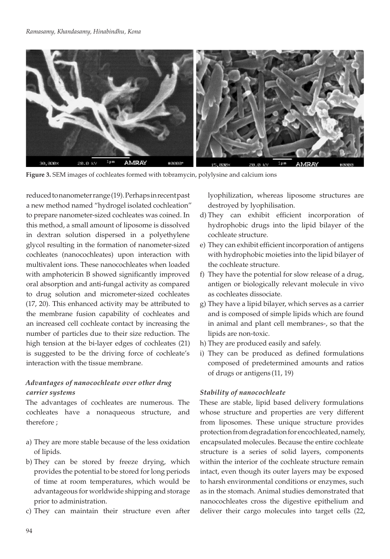

**Figure 3.** SEM images of cochleates formed with tobramycin, polylysine and calcium ions

reduced to nanometer range (19). Perhaps in recent past a new method named "hydrogel isolated cochleation" to prepare nanometer-sized cochleates was coined. In this method, a small amount of liposome is dissolved in dextran solution dispersed in a polyethylene glycol resulting in the formation of nanometer-sized cochleates (nanocochleates) upon interaction with multivalent ions. These nanocochleates when loaded with amphotericin B showed significantly improved oral absorption and anti-fungal activity as compared to drug solution and micrometer-sized cochleates (17, 20). This enhanced activity may be attributed to the membrane fusion capability of cochleates and an increased cell cochleate contact by increasing the number of particles due to their size reduction. The high tension at the bi-layer edges of cochleates (21) is suggested to be the driving force of cochleate's interaction with the tissue membrane.

## *Advantages of nanocochleate over other drug carrier systems*

The advantages of cochleates are numerous. The cochleates have a nonaqueous structure, and therefore ;

- a) They are more stable because of the less oxidation of lipids.
- b) They can be stored by freeze drying, which provides the potential to be stored for long periods of time at room temperatures, which would be advantageous for worldwide shipping and storage prior to administration.
- c) They can maintain their structure even after

lyophilization, whereas liposome structures are destroyed by lyophilisation.

- d) They can exhibit efficient incorporation of hydrophobic drugs into the lipid bilayer of the cochleate structure.
- e) They can exhibit efficient incorporation of antigens with hydrophobic moieties into the lipid bilayer of the cochleate structure.
- f) They have the potential for slow release of a drug, antigen or biologically relevant molecule in vivo as cochleates dissociate.
- g) They have a lipid bilayer, which serves as a carrier and is composed of simple lipids which are found in animal and plant cell membranes-, so that the lipids are non-toxic.
- h) They are produced easily and safely.
- i) They can be produced as defined formulations composed of predetermined amounts and ratios of drugs or antigens (11, 19)

#### *Stability of nanocochleate*

These are stable, lipid based delivery formulations whose structure and properties are very different from liposomes. These unique structure provides protection from degradation for encochleated, namely, encapsulated molecules. Because the entire cochleate structure is a series of solid layers, components within the interior of the cochleate structure remain intact, even though its outer layers may be exposed to harsh environmental conditions or enzymes, such as in the stomach. Animal studies demonstrated that nanocochleates cross the digestive epithelium and deliver their cargo molecules into target cells (22,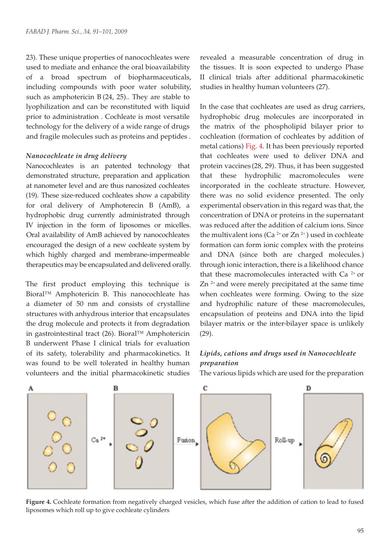23). These unique properties of nanocochleates were used to mediate and enhance the oral bioavailability of a broad spectrum of biopharmaceuticals, including compounds with poor water solubility, such as amphotericin B (24, 25).. They are stable to lyophilization and can be reconstituted with liquid prior to administration . Cochleate is most versatile technology for the delivery of a wide range of drugs and fragile molecules such as proteins and peptides .

#### *Nanocochleate in drug delivery*

Nanocochleates is an patented technology that demonstrated structure, preparation and application at nanometer level and are thus nanosized cochleates (19). These size-reduced cochleates show a capability for oral delivery of Amphoterecin B (AmB), a hydrophobic drug currently administrated through IV injection in the form of liposomes or micelles. Oral availability of AmB achieved by nanocochleates encouraged the design of a new cochleate system by which highly charged and membrane-impermeable therapeutics may be encapsulated and delivered orally.

The first product employing this technique is Bioral™ Amphotericin B. This nanocochleate has a diameter of 50 nm and consists of crystalline structures with anhydrous interior that encapsulates the drug molecule and protects it from degradation in gastrointestinal tract (26). Bioral™ Amphotericin B underwent Phase I clinical trials for evaluation of its safety, tolerability and pharmacokinetics. It was found to be well tolerated in healthy human volunteers and the initial pharmacokinetic studies

revealed a measurable concentration of drug in the tissues. It is soon expected to undergo Phase II clinical trials after additional pharmacokinetic studies in healthy human volunteers (27).

In the case that cochleates are used as drug carriers, hydrophobic drug molecules are incorporated in the matrix of the phospholipid bilayer prior to cochleation (formation of cochleates by addition of metal cations) Fig. 4. It has been previously reported that cochleates were used to deliver DNA and protein vaccines (28, 29). Thus, it has been suggested that these hydrophilic macromolecules were incorporated in the cochleate structure. However, there was no solid evidence presented. The only experimental observation in this regard was that, the concentration of DNA or proteins in the supernatant was reduced after the addition of calcium ions. Since the multivalent ions (Ca<sup>2+</sup> or Zn<sup>2+</sup>) used in cochleate formation can form ionic complex with the proteins and DNA (since both are charged molecules.) through ionic interaction, there is a likelihood chance that these macromolecules interacted with Ca<sup>2+</sup> or  $Zn^{2+}$  and were merely precipitated at the same time when cochleates were forming. Owing to the size and hydrophilic nature of these macromolecules, encapsulation of proteins and DNA into the lipid bilayer matrix or the inter-bilayer space is unlikely (29).

## *Lipids, cations and drugs used in Nanocochleate preparation*

The various lipids which are used for the preparation



**Figure 4.** Cochleate formation from negatively charged vesicles, which fuse after the addition of cation to lead to fused liposomes which roll up to give cochleate cylinders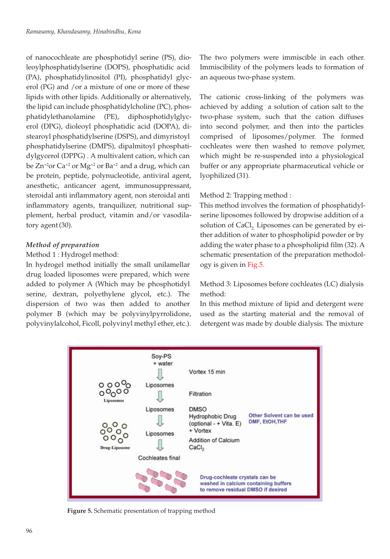of nanocochleate are phosphotidyl serine (PS), dioleoylphosphatidylserine (DOPS), phosphatidic acid (PA), phosphatidylinositol (PI), phosphatidyl glycerol (PG) and /or a mixture of one or more of these lipids with other lipids. Additionally or alternatively, the lipid can include phosphatidylcholine (PC), phosphatidylethanolamine (PE), diphosphotidylglycerol (DPG), dioleoyl phosphatidic acid (DOPA), distearoyl phosphatidylserine (DSPS), and dimyristoyl phosphatidylserine (DMPS), dipalmitoyl phosphatidylgycerol (DPPG) . A multivalent cation, which can be  $Zn^{2}$ or Ca<sup>+2</sup> or Mg<sup>+2</sup> or Ba<sup>+2</sup> and a drug, which can be protein, peptide, polynucleotide, antiviral agent, anesthetic, anticancer agent, immunosuppressant, steroidal anti inflammatory agent, non steroidal anti inflammatory agents, tranquilizer, nutritional supplement, herbal product, vitamin and/or vasodilatory agent(30).

# *Method of preparation*

## Method 1 : Hydrogel method:

In hydrogel method initially the small unilamellar drug loaded liposomes were prepared, which were added to polymer A (Which may be phosphotidyl serine, dextran, polyethylene glycol, etc.). The dispersion of two was then added to another polymer B (which may be polyvinylpyrrolidone, polyvinylalcohol, Ficoll, polyvinyl methyl ether, etc.). The two polymers were immiscible in each other. Immiscibility of the polymers leads to formation of an aqueous two-phase system.

The cationic cross-linking of the polymers was achieved by adding a solution of cation salt to the two-phase system, such that the cation diffuses into second polymer, and then into the particles comprised of liposomes/polymer. The formed cochleates were then washed to remove polymer, which might be re-suspended into a physiological buffer or any appropriate pharmaceutical vehicle or lyophilized(31).

Method 2: Trapping method :

This method involves the formation of phosphatidylserine liposomes followed by dropwise addition of a solution of CaCl, Liposomes can be generated by either addition of water to phospholipid powder or by adding the water phase to a phospholipid film (32). A schematic presentation of the preparation methodology is given in Fig.5.

Method 3: Liposomes before cochleates (LC) dialysis method:

In this method mixture of lipid and detergent were used as the starting material and the removal of detergent was made by double dialysis. The mixture



**Figure 5.** Schematic presentation of trapping method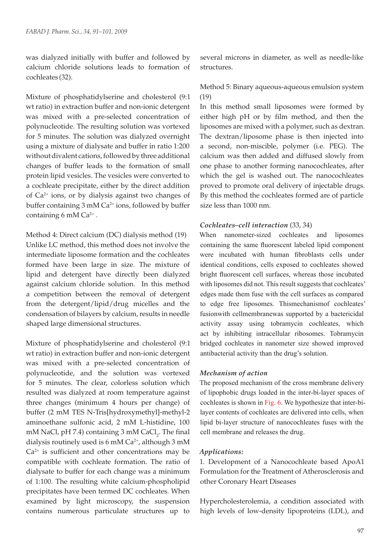was dialyzed initially with buffer and followed by calcium chloride solutions leads to formation of cochleates (32).

Mixture of phosphatidylserine and cholesterol (9:1 wt ratio) in extraction buffer and non-ionic detergent was mixed with a pre-selected concentration of polynucleotide. The resulting solution was vortexed for 5 minutes. The solution was dialyzed overnight using a mixture of dialysate and buffer in ratio 1:200 without divalent cations, followed by three additional changes of buffer leads to the formation of small protein lipid vesicles. The vesicles were converted to a cochleate precipitate, either by the direct addition of  $Ca^{2+}$  ions, or by dialysis against two changes of buffer containing 3 mM Ca<sup>2+</sup> ions, followed by buffer containing 6 mM  $Ca^{2+}$ .

Method 4: Direct calcium (DC) dialysis method (19) Unlike LC method, this method does not involve the intermediate liposome formation and the cochleates formed have been large in size. The mixture of lipid and detergent have directly been dialyzed against calcium chloride solution. In this method a competition between the removal of detergent from the detergent/lipid/drug micelles and the condensation of bilayers by calcium, results in needle shaped large dimensional structures.

Mixture of phosphatidylserine and cholesterol (9:1 wt ratio) in extraction buffer and non-ionic detergent was mixed with a pre-selected concentration of polynucleotide, and the solution was vortexed for 5 minutes. The clear, colorless solution which resulted was dialyzed at room temperature against three changes (minimum 4 hours per change) of buffer (2 mM TES N-Tris[hydroxymethyl]-methyl-2 aminoethane sulfonic acid, 2 mM L-histidine, 100 mM NaCl, pH 7.4) containing 3 mM  $\rm CaCl_{2}$ . The final dialysis routinely used is 6 mM  $Ca^{2+}$ , although 3 mM  $Ca<sup>2+</sup>$  is sufficient and other concentrations may be compatible with cochleate formation. The ratio of dialysate to buffer for each change was a minimum of 1:100. The resulting white calcium-phospholipid precipitates have been termed DC cochleates. When examined by light microscopy, the suspension contains numerous particulate structures up to

several microns in diameter, as well as needle-like structures.

Method 5: Binary aqueous-aqueous emulsion system (19)

In this method small liposomes were formed by either high pH or by film method, and then the liposomes are mixed with a polymer, such as dextran. The dextran/liposome phase is then injected into a second, non-miscible, polymer (i.e. PEG). The calcium was then added and diffused slowly from one phase to another forming nanocochleates, after which the gel is washed out. The nanocochleates proved to promote oral delivery of injectable drugs. By this method the cochleates formed are of particle size less than 1000 nm.

## *Cochleates–cell interaction* (33, 34)

When nanometer-sized cochleates and liposomes containing the same fluorescent labeled lipid component were incubated with human fibroblasts cells under identical conditions, cells exposed to cochleates showed bright fluorescent cell surfaces, whereas those incubated with liposomes did not. This result suggests that cochleates' edges made them fuse with the cell surfaces as compared to edge free liposomes. Thismechanismof cochleates' fusionwith cellmembranewas supported by a bactericidal activity assay using tobramycin cochleates, which act by inhibiting intracellular ribosomes. Tobramycin bridged cochleates in nanometer size showed improved antibacterial activity than the drug's solution.

#### *Mechanism of action*

The proposed mechanism of the cross membrane delivery of lipophobic drugs loaded in the inter-bi-layer spaces of cochleates is shown in Fig. 6. We hypothesize that inter-bilayer contents of cochleates are delivered into cells, when lipid bi-layer structure of nanocochleates fuses with the cell membrane and releases the drug.

## *Applications:*

1. Development of a Nanocochleate based ApoA1 Formulation for the Treatment of Atherosclerosis and other Coronary Heart Diseases

Hypercholesterolemia, a condition associated with high levels of low-density lipoproteins (LDL), and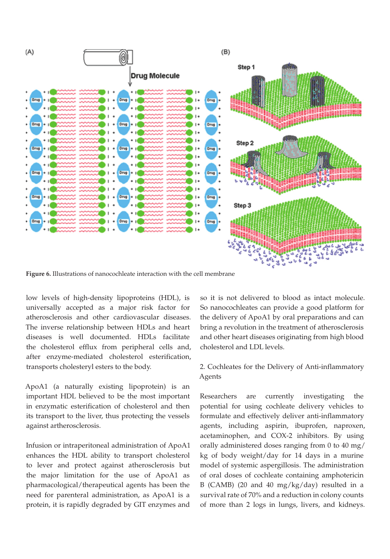

**Figure 6.** Illustrations of nanocochleate interaction with the cell membrane

low levels of high-density lipoproteins (HDL), is universally accepted as a major risk factor for atherosclerosis and other cardiovascular diseases. The inverse relationship between HDLs and heart diseases is well documented. HDLs facilitate the cholesterol efflux from peripheral cells and, after enzyme-mediated cholesterol esterification, transports cholesteryl esters to the body.

ApoA1 (a naturally existing lipoprotein) is an important HDL believed to be the most important in enzymatic esterification of cholesterol and then its transport to the liver, thus protecting the vessels against artherosclerosis.

Infusion or intraperitoneal administration of ApoA1 enhances the HDL ability to transport cholesterol to lever and protect against atherosclerosis but the major limitation for the use of ApoA1 as pharmacological/therapeutical agents has been the need for parenteral administration, as ApoA1 is a protein, it is rapidly degraded by GIT enzymes and

so it is not delivered to blood as intact molecule. So nanocochleates can provide a good platform for the delivery of ApoA1 by oral preparations and can bring a revolution in the treatment of atherosclerosis and other heart diseases originating from high blood cholesterol and LDL levels.

# 2. Cochleates for the Delivery of Anti-inflammatory Agents

Researchers are currently investigating the potential for using cochleate delivery vehicles to formulate and effectively deliver anti-inflammatory agents, including aspirin, ibuprofen, naproxen, acetaminophen, and COX-2 inhibitors. By using orally administered doses ranging from 0 to 40 mg/ kg of body weight/day for 14 days in a murine model of systemic aspergillosis. The administration of oral doses of cochleate containing amphotericin B (CAMB) (20 and 40 mg/kg/day) resulted in a survival rate of 70% and a reduction in colony counts of more than 2 logs in lungs, livers, and kidneys.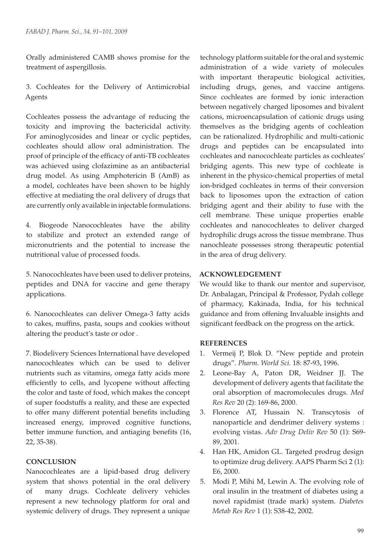Orally administered CAMB shows promise for the treatment of aspergillosis.

3. Cochleates for the Delivery of Antimicrobial Agents

Cochleates possess the advantage of reducing the toxicity and improving the bactericidal activity. For aminoglycosides and linear or cyclic peptides, cochleates should allow oral administration. The proof of principle of the efficacy of anti-TB cochleates was achieved using clofazimine as an antibacterial drug model. As using Amphotericin B (AmB) as a model, cochleates have been shown to be highly effective at mediating the oral delivery of drugs that are currently only available in injectable formulations.

4. Biogeode Nanocochleates have the ability to stabilize and protect an extended range of micronutrients and the potential to increase the nutritional value of processed foods.

5. Nanocochleates have been used to deliver proteins, peptides and DNA for vaccine and gene therapy applications.

6. Nanocochleates can deliver Omega-3 fatty acids to cakes, muffins, pasta, soups and cookies without altering the product's taste or odor .

7. Biodelivery Sciences International have developed nanocochleates which can be used to deliver nutrients such as vitamins, omega fatty acids more efficiently to cells, and lycopene without affecting the color and taste of food, which makes the concept of super foodstuffs a reality, and these are expected to offer many different potential benefits including increased energy, improved cognitive functions, better immune function, and antiaging benefits (16, 22, 35-38).

# **CONCLUSION**

Nanocochleates are a lipid-based drug delivery system that shows potential in the oral delivery of many drugs. Cochleate delivery vehicles represent a new technology platform for oral and systemic delivery of drugs. They represent a unique

technology platform suitable for the oral and systemic administration of a wide variety of molecules with important therapeutic biological activities, including drugs, genes, and vaccine antigens. Since cochleates are formed by ionic interaction between negatively charged liposomes and bivalent cations, microencapsulation of cationic drugs using themselves as the bridging agents of cochleation can be rationalized. Hydrophilic and multi-cationic drugs and peptides can be encapsulated into cochleates and nanocochleate particles as cochleates' bridging agents. This new type of cochleate is inherent in the physico-chemical properties of metal ion-bridged cochleates in terms of their conversion back to liposomes upon the extraction of cation bridging agent and their ability to fuse with the cell membrane. These unique properties enable cochleates and nanocochleates to deliver charged hydrophilic drugs across the tissue membrane. Thus nanochleate possesses strong therapeutic potential in the area of drug delivery.

# **ACKNOWLEDGEMENT**

We would like to thank our mentor and supervisor, Dr. Anbalagan, Principal & Professor, Pydah college of pharmacy, Kakinada, India, for his technical guidance and from offening Invaluable insights and significant feedback on the progress on the artick.

## **REFERENCES**

- 1. Vermeij P, Blok D. "New peptide and protein drugs". *Pharm. World Sci.* 18: 87-93, 1996.
- 2. Leone-Bay A, Paton DR, Weidner JJ. The development of delivery agents that facilitate the oral absorption of macromolecules drugs. *Med Res Rev* 20 (2): 169-86, 2000.
- 3. Florence AT, Hussain N. Transcytosis of nanoparticle and dendrimer delivery systems : evolving vistas. *Adv Drug Deliv Rev* 50 (1): S69- 89, 2001.
- 4. Han HK, Amidon GL. Targeted prodrug design to optimize drug delivery. AAPS Pharm Sci 2 (1): E6, 2000.
- 5. Modi P, Mihi M, Lewin A. The evolving role of oral insulin in the treatment of diabetes using a novel rapidmist (trade mark) system. *Diabetes Metab Res Rev* 1 (1): S38-42, 2002.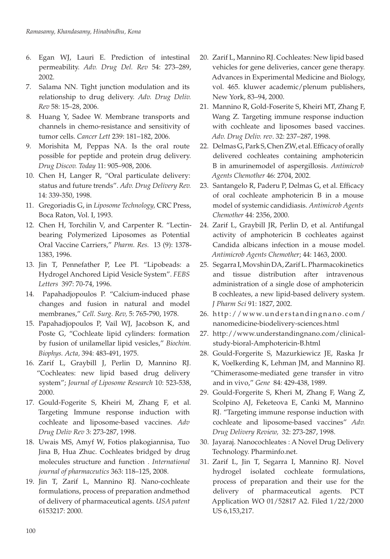- 6. Egan WJ, Lauri E. Prediction of intestinal permeability. *Adv. Drug Del. Rev* 54: 273–289, 2002.
- 7. Salama NN. Tight junction modulation and its relationship to drug delivery. *Adv. Drug Deliv. Rev* 58: 15–28, 2006.
- 8. Huang Y, Sadee W. Membrane transports and channels in chemo-resistance and sensitivity of tumor cells. *Cancer Lett* 239: 181–182, 2006.
- 9. Morishita M, Peppas NA. Is the oral route possible for peptide and protein drug delivery. *Drug Discov. Today* 11: 905–908, 2006.
- 10. Chen H, Langer R, "Oral particulate delivery: status and future trends". *Adv. Drug Delivery Rev.* 14: 339-350, 1998.
- 11. Gregoriadis G, in *Liposome Technology,* CRC Press, Boca Raton, Vol. I, 1993.
- 12. Chen H, Torchilin V, and Carpenter R. "Lectinbearing Polymerized Liposomes as Potential Oral Vaccine Carriers," *Pharm. Res.*  13 (9): 1378- 1383, 1996.
- 13. Jin T, Pennefather P, Lee PI. "Lipobeads: a Hydrogel Anchored Lipid Vesicle System". *FEBS Letters*  397: 70-74, 1996.
- 14. Papahadjopoulos P. "Calcium-induced phase changes and fusion in natural and model membranes," *Cell. Surg. Rev,* 5: 765-790, 1978.
- 15. Papahadjopoulos P, Vail WJ, Jacobson K, and Poste G, "Cochleate lipid cylinders: formation by fusion of unilamellar lipid vesicles," *Biochim. Biophys. Acta,* 394: 483-491, 1975.
- 16. Zarif L, Graybill J, Perlin D, Mannino RJ. "Cochleates: new lipid based drug delivery system"; *Journal of Liposome Research* 10: 523-538, 2000.
- 17. Gould-Fogerite S, Kheiri M, Zhang F, et al. Targeting Immune response induction with cochleate and liposome-based vaccines. *Adv Drug Deliv Rev* 3: 273-287, 1998.
- 18. Uwais MS, Amyf W, Fotios plakogiannisa, Tuo Jina B, Hua Zhuc. Cochleates bridged by drug molecules structure and function . *International journal of pharmaceutics* 363: 118–125, 2008.
- 19. Jin T, Zarif L, Mannino RJ. Nano-cochleate formulations, process of preparation andmethod of delivery of pharmaceutical agents. *USA patent* 6153217: 2000.
- 20. Zarif L, Mannino RJ. Cochleates: New lipid based vehicles for gene deliveries, cancer gene therapy. Advances in Experimental Medicine and Biology, vol. 465. kluwer academic/plenum publishers, New York, 83–94, 2000.
- 21. Mannino R, Gold-Foserite S, Kheiri MT, Zhang F, Wang Z. Targeting immune response induction with cochleate and liposomes based vaccines. *Adv. Drug Deliv. rev*. 32: 237–287, 1998.
- 22. Delmas G, Park S, Chen ZW, et al. Efficacy of orally delivered cochleates containing amphotericin B in amurinemodel of aspergillosis. *Antimicrob Agents Chemother* 46: 2704, 2002.
- 23. Santangelo R, Paderu P, Delmas G, et al. Efficacy of oral cochleate amphotericin B in a mouse model of systemic candidiasis. *Antimicrob Agents Chemother* 44: 2356, 2000.
- 24. Zarif L, Graybill JR, Perlin D, et al. Antifungal activity of amphotericin B cochleates against Candida albicans infection in a mouse model. *Antimicrob Agents Chemother*; 44: 1463, 2000.
- 25. Segarra I, Movshin DA, Zarif L. Pharmacokinetics and tissue distribution after intravenous administration of a single dose of amphotericin B cochleates, a new lipid-based delivery system. *J Pharm Sci* 91: 1827, 2002.
- 26. http://www.understandingnano.com/ nanomedicine-biodelivery-sciences.html
- 27. http://www.understandingnano.com/clinicalstudy-bioral-Amphotericin-B.html
- 28. Gould-Forgerite S, Mazurkiewicz JE, Raska Jr K, Voelkerding K, Lehman JM, and Mannino RJ. "Chimerasome-mediated gene transfer in vitro and in vivo," *Gene*  84: 429-438, 1989.
- 29. Gould-Forgerite S, Kheri M, Zhang F, Wang Z, Scolpino AJ, Feketeova E, Canki M, Mannino RJ. "Targeting immune response induction with cochleate and liposome-based vaccines" *Adv. Drug Delivery Review,*  32: 273-287, 1998.
- 30. Jayaraj. Nanocochleates : A Novel Drug Delivery Technology. Pharminfo.net.
- 31. Zarif L, Jin T, Segarra I, Mannino RJ. Novel hydrogel isolated cochleate formulations, process of preparation and their use for the delivery of pharmaceutical agents. PCT Application WO 01/52817 A2. Filed 1/22/2000 US 6,153,217.